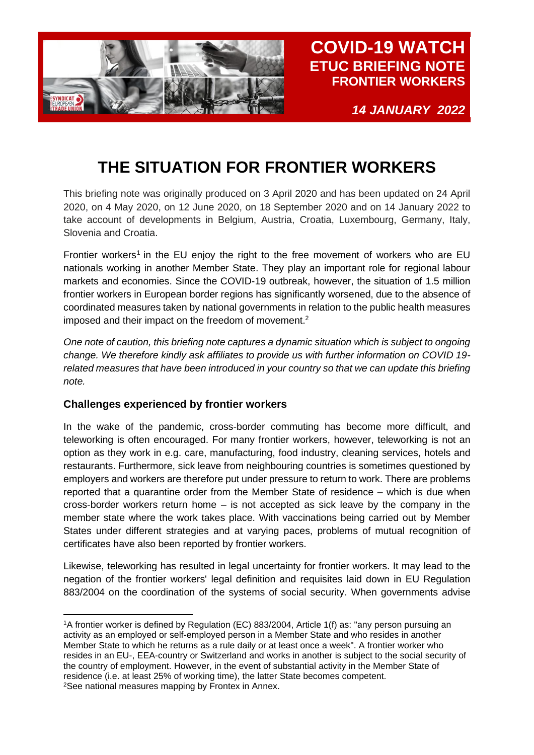

*14 JANUARY 2022*

# **THE SITUATION FOR FRONTIER WORKERS**

This briefing note was originally produced on 3 April 2020 and has been updated on 24 April 2020, on 4 May 2020, on 12 June 2020, on 18 September 2020 and on 14 January 2022 to take account of developments in Belgium, Austria, Croatia, Luxembourg, Germany, Italy, Slovenia and Croatia.

Frontier workers<sup>1</sup> in the EU enjoy the right to the free movement of workers who are EU nationals working in another Member State. They play an important role for regional labour markets and economies. Since the COVID-19 outbreak, however, the situation of 1.5 million frontier workers in European border regions has significantly worsened, due to the absence of coordinated measures taken by national governments in relation to the public health measures imposed and their impact on the freedom of movement. 2

*One note of caution, this briefing note captures a dynamic situation which is subject to ongoing change. We therefore kindly ask affiliates to provide us with further information on COVID 19 related measures that have been introduced in your country so that we can update this briefing note.*

### **Challenges experienced by frontier workers**

In the wake of the pandemic, cross-border commuting has become more difficult, and teleworking is often encouraged. For many frontier workers, however, teleworking is not an option as they work in e.g. care, manufacturing, food industry, cleaning services, hotels and restaurants. Furthermore, sick leave from neighbouring countries is sometimes questioned by employers and workers are therefore put under pressure to return to work. There are problems reported that a quarantine order from the Member State of residence – which is due when cross-border workers return home – is not accepted as sick leave by the company in the member state where the work takes place. With vaccinations being carried out by Member States under different strategies and at varying paces, problems of mutual recognition of certificates have also been reported by frontier workers.

Likewise, teleworking has resulted in legal uncertainty for frontier workers. It may lead to the negation of the frontier workers' legal definition and requisites laid down in EU Regulation 883/2004 on the coordination of the systems of social security. When governments advise

<sup>1</sup>A frontier worker is defined by Regulation (EC) 883/2004, Article 1(f) as: "any person pursuing an activity as an employed or self-employed person in a Member State and who resides in another Member State to which he returns as a rule daily or at least once a week". A frontier worker who resides in an EU-, EEA-country or Switzerland and works in another is subject to the social security of the country of employment. However, in the event of substantial activity in the Member State of residence (i.e. at least 25% of working time), the latter State becomes competent. 2See national measures mapping by Frontex in Annex.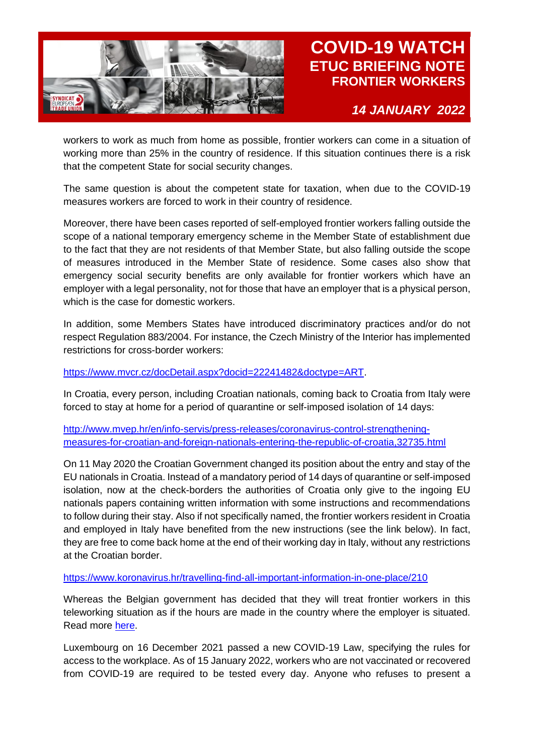

*14 JANUARY 2022*

workers to work as much from home as possible, frontier workers can come in a situation of working more than 25% in the country of residence. If this situation continues there is a risk that the competent State for social security changes.

The same question is about the competent state for taxation, when due to the COVID-19 measures workers are forced to work in their country of residence.

Moreover, there have been cases reported of self-employed frontier workers falling outside the scope of a national temporary emergency scheme in the Member State of establishment due to the fact that they are not residents of that Member State, but also falling outside the scope of measures introduced in the Member State of residence. Some cases also show that emergency social security benefits are only available for frontier workers which have an employer with a legal personality, not for those that have an employer that is a physical person, which is the case for domestic workers.

In addition, some Members States have introduced discriminatory practices and/or do not respect Regulation 883/2004. For instance, the Czech Ministry of the Interior has implemented restrictions for cross-border workers:

[https://www.mvcr.cz/docDetail.aspx?docid=22241482&doctype=ART.](https://www.mvcr.cz/docDetail.aspx?docid=22241482&doctype=ART)

In Croatia, every person, including Croatian nationals, coming back to Croatia from Italy were forced to stay at home for a period of quarantine or self-imposed isolation of 14 days:

[http://www.mvep.hr/en/info-servis/press-releases/coronavirus-control-strengthening](http://www.mvep.hr/en/info-servis/press-releases/coronavirus-control-strengthening-measures-for-croatian-and-foreign-nationals-entering-the-republic-of-croatia,32735.html)[measures-for-croatian-and-foreign-nationals-entering-the-republic-of-croatia,32735.html](http://www.mvep.hr/en/info-servis/press-releases/coronavirus-control-strengthening-measures-for-croatian-and-foreign-nationals-entering-the-republic-of-croatia,32735.html)

On 11 May 2020 the Croatian Government changed its position about the entry and stay of the EU nationals in Croatia. Instead of a mandatory period of 14 days of quarantine or self-imposed isolation, now at the check-borders the authorities of Croatia only give to the ingoing EU nationals papers containing written information with some instructions and recommendations to follow during their stay. Also if not specifically named, the frontier workers resident in Croatia and employed in Italy have benefited from the new instructions (see the link below). In fact, they are free to come back home at the end of their working day in Italy, without any restrictions at the Croatian border.

<https://www.koronavirus.hr/travelling-find-all-important-information-in-one-place/210>

Whereas the Belgian government has decided that they will treat frontier workers in this teleworking situation as if the hours are made in the country where the employer is situated. Read more [here.](http://www.ejustice.just.fgov.be/cgi/article.pl?numac=2020030302&caller=list&article_lang=F&row_id=1&numero=1&pub_date=2020-03-13&dt=ARRETE+MINISTERIEL&language=fr&du=d&fr=f&choix1=ET&choix2=ET&fromtab=+moftxt+UNION+montxt+UNION+modtxt&nl=n&trier=promulgation&pdda=2020&pdfa=2020&pddj=12&pddm=03&pdfj=17&sql=dt+=+%27ARRETE+MINISTERIEL%27+and+pd+between+date%272020-03-12%27+and+date%272020-03-17%27+&rech=35&pdfm=03&tri=dd+AS+RANK+)

Luxembourg on 16 December 2021 passed a new COVID-19 Law, specifying the rules for access to the workplace. As of 15 January 2022, workers who are not vaccinated or recovered from COVID-19 are required to be tested every day. Anyone who refuses to present a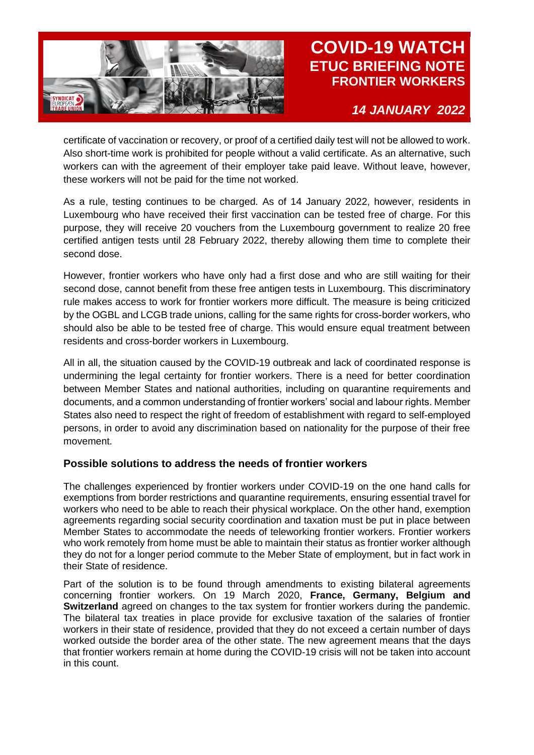

*14 JANUARY 2022*

certificate of vaccination or recovery, or proof of a certified daily test will not be allowed to work. Also short-time work is prohibited for people without a valid certificate. As an alternative, such workers can with the agreement of their employer take paid leave. Without leave, however, these workers will not be paid for the time not worked.

As a rule, testing continues to be charged. As of 14 January 2022, however, residents in Luxembourg who have received their first vaccination can be tested free of charge. For this purpose, they will receive 20 vouchers from the Luxembourg government to realize 20 free certified antigen tests until 28 February 2022, thereby allowing them time to complete their second dose.

However, frontier workers who have only had a first dose and who are still waiting for their second dose, cannot benefit from these free antigen tests in Luxembourg. This discriminatory rule makes access to work for frontier workers more difficult. The measure is being criticized by the OGBL and LCGB trade unions, calling for the same rights for cross-border workers, who should also be able to be tested free of charge. This would ensure equal treatment between residents and cross-border workers in Luxembourg.

All in all, the situation caused by the COVID-19 outbreak and lack of coordinated response is undermining the legal certainty for frontier workers. There is a need for better coordination between Member States and national authorities, including on quarantine requirements and documents, and a common understanding of frontier workers' social and labour rights. Member States also need to respect the right of freedom of establishment with regard to self-employed persons, in order to avoid any discrimination based on nationality for the purpose of their free movement.

### **Possible solutions to address the needs of frontier workers**

The challenges experienced by frontier workers under COVID-19 on the one hand calls for exemptions from border restrictions and quarantine requirements, ensuring essential travel for workers who need to be able to reach their physical workplace. On the other hand, exemption agreements regarding social security coordination and taxation must be put in place between Member States to accommodate the needs of teleworking frontier workers. Frontier workers who work remotely from home must be able to maintain their status as frontier worker although they do not for a longer period commute to the Meber State of employment, but in fact work in their State of residence.

Part of the solution is to be found through amendments to existing bilateral agreements concerning frontier workers. On 19 March 2020, **France, Germany, Belgium and Switzerland** agreed on changes to the tax system for frontier workers during the pandemic. The bilateral tax treaties in place provide for exclusive taxation of the salaries of frontier workers in their state of residence, provided that they do not exceed a certain number of days worked outside the border area of the other state. The new agreement means that the days that frontier workers remain at home during the COVID-19 crisis will not be taken into account in this count.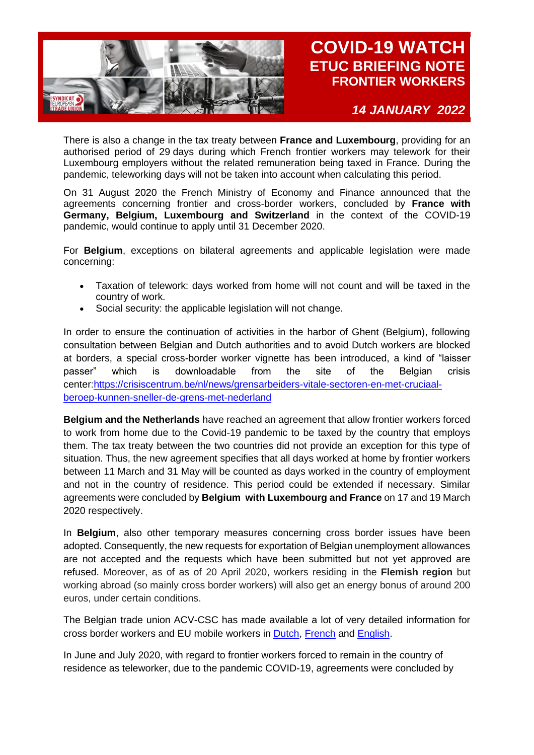

*14 JANUARY 2022*

There is also a change in the tax treaty between **France and Luxembourg**, providing for an authorised period of 29 days during which French frontier workers may telework for their Luxembourg employers without the related remuneration being taxed in France. During the pandemic, teleworking days will not be taken into account when calculating this period.

On 31 August 2020 the French Ministry of Economy and Finance announced that the agreements concerning frontier and cross-border workers, concluded by **France with Germany, Belgium, Luxembourg and Switzerland** in the context of the COVID-19 pandemic, would continue to apply until 31 December 2020.

For **Belgium**, exceptions on bilateral agreements and applicable legislation were made concerning:

- Taxation of telework: days worked from home will not count and will be taxed in the country of work.
- Social security: the applicable legislation will not change.

In order to ensure the continuation of activities in the harbor of Ghent (Belgium), following consultation between Belgian and Dutch authorities and to avoid Dutch workers are blocked at borders, a special cross-border worker vignette has been introduced, a kind of "laisser passer" which is downloadable from the site of the Belgian crisis center[:https://crisiscentrum.be/nl/news/grensarbeiders-vitale-sectoren-en-met-cruciaal](https://crisiscentrum.be/nl/news/grensarbeiders-vitale-sectoren-en-met-cruciaal-beroep-kunnen-sneller-de-grens-met-nederland)[beroep-kunnen-sneller-de-grens-met-nederland](https://crisiscentrum.be/nl/news/grensarbeiders-vitale-sectoren-en-met-cruciaal-beroep-kunnen-sneller-de-grens-met-nederland)

**Belgium and the Netherlands** have reached an agreement that allow frontier workers forced to work from home due to the Covid-19 pandemic to be taxed by the country that employs them. The tax treaty between the two countries did not provide an exception for this type of situation. Thus, the new agreement specifies that all days worked at home by frontier workers between 11 March and 31 May will be counted as days worked in the country of employment and not in the country of residence. This period could be extended if necessary. Similar agreements were concluded by **Belgium with Luxembourg and France** on 17 and 19 March 2020 respectively.

In **Belgium**, also other temporary measures concerning cross border issues have been adopted. Consequently, the new requests for exportation of Belgian unemployment allowances are not accepted and the requests which have been submitted but not yet approved are refused. Moreover, as of as of 20 April 2020, workers residing in the **Flemish region** but working abroad (so mainly cross border workers) will also get an energy bonus of around 200 euros, under certain conditions.

The Belgian trade union ACV-CSC has made available a lot of very detailed information for cross border workers and EU mobile workers in [Dutch,](https://www.hetacv.be/actualiteit/campagnes/coronavirus-op-het-werk/sectornieuws/grensarbeider) [French](https://www.lacsc.be/actualite/campagnes/les-impacts-du-coronavirus-au-travail/informations-par-secteurs/travailleurs-frontaliers) and [English.](https://www.hetacv.be/docs/default-source/acv-csc-docsitemap/3980-actualiteit-actualite/3985-campagnes--campagnes/202003_corona/faq-cross-border-employment_v20200416.pdf?sfvrsn=10fe6983_4)

In June and July 2020, with regard to frontier workers forced to remain in the country of residence as teleworker, due to the pandemic COVID-19, agreements were concluded by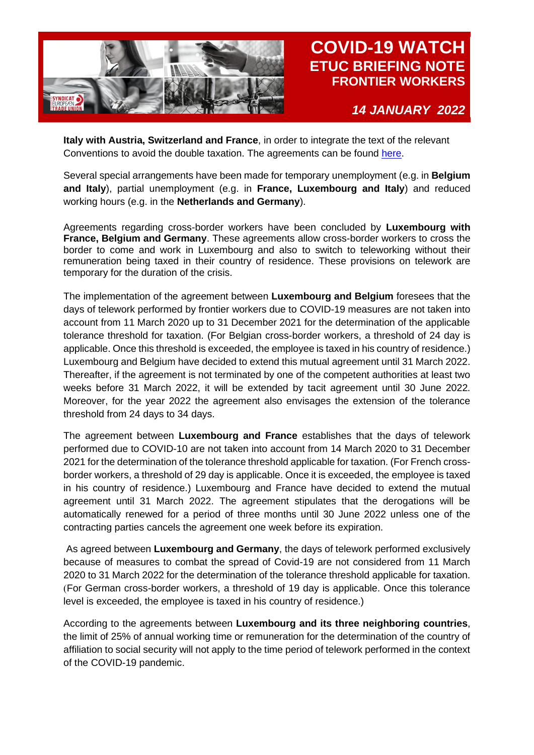

*14 JANUARY 2022*

**Italy with Austria, Switzerland and France**, in order to integrate the text of the relevant Conventions to avoid the double taxation. The agreements can be found [here.](https://etuc-my.sharepoint.com/:f:/g/personal/mmiletti_etuc_org/EskE3kQKB4dDuNLozyeRhecBkFm46ghmGfuf3IKiMc3ACA?e=2dBvpv)

Several special arrangements have been made for temporary unemployment (e.g. in **Belgium and Italy**), partial unemployment (e.g. in **France, Luxembourg and Italy**) and reduced working hours (e.g. in the **Netherlands and Germany**).

Agreements regarding cross-border workers have been concluded by **Luxembourg with France, Belgium and Germany**. These agreements allow cross-border workers to cross the border to come and work in Luxembourg and also to switch to teleworking without their remuneration being taxed in their country of residence. These provisions on telework are temporary for the duration of the crisis.

The implementation of the agreement between **Luxembourg and Belgium** foresees that the days of telework performed by frontier workers due to COVID-19 measures are not taken into account from 11 March 2020 up to 31 December 2021 for the determination of the applicable tolerance threshold for taxation. (For Belgian cross-border workers, a threshold of 24 day is applicable. Once this threshold is exceeded, the employee is taxed in his country of residence.) Luxembourg and Belgium have decided to extend this mutual agreement until 31 March 2022. Thereafter, if the agreement is not terminated by one of the competent authorities at least two weeks before 31 March 2022, it will be extended by tacit agreement until 30 June 2022. Moreover, for the year 2022 the agreement also envisages the extension of the tolerance threshold from 24 days to 34 days.

The agreement between **Luxembourg and France** establishes that the days of telework performed due to COVID-10 are not taken into account from 14 March 2020 to 31 December 2021 for the determination of the tolerance threshold applicable for taxation. (For French crossborder workers, a threshold of 29 day is applicable. Once it is exceeded, the employee is taxed in his country of residence.) Luxembourg and France have decided to extend the mutual agreement until 31 March 2022. The agreement stipulates that the derogations will be automatically renewed for a period of three months until 30 June 2022 unless one of the contracting parties cancels the agreement one week before its expiration.

As agreed between **Luxembourg and Germany**, the days of telework performed exclusively because of measures to combat the spread of Covid-19 are not considered from 11 March 2020 to 31 March 2022 for the determination of the tolerance threshold applicable for taxation. (For German cross-border workers, a threshold of 19 day is applicable. Once this tolerance level is exceeded, the employee is taxed in his country of residence.)

According to the agreements between **Luxembourg and its three neighboring countries**, the limit of 25% of annual working time or remuneration for the determination of the country of affiliation to social security will not apply to the time period of telework performed in the context of the COVID-19 pandemic.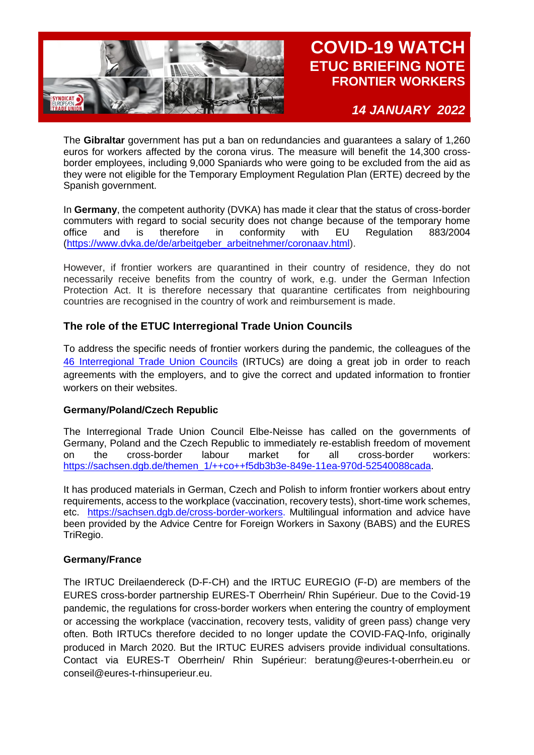

*14 JANUARY 2022*

The **Gibraltar** government has put a ban on redundancies and guarantees a salary of 1,260 euros for workers affected by the corona virus. The measure will benefit the 14,300 crossborder employees, including 9,000 Spaniards who were going to be excluded from the aid as they were not eligible for the Temporary Employment Regulation Plan (ERTE) decreed by the Spanish government.

In **Germany**, the competent authority (DVKA) has made it clear that the status of cross-border commuters with regard to social security does not change because of the temporary home office and is therefore in conformity with EU Regulation 883/2004 [\(https://www.dvka.de/de/arbeitgeber\\_arbeitnehmer/coronaav.html\)](https://www.dvka.de/de/arbeitgeber_arbeitnehmer/coronaav.html).

However, if frontier workers are quarantined in their country of residence, they do not necessarily receive benefits from the country of work, e.g. under the German Infection Protection Act. It is therefore necessary that quarantine certificates from neighbouring countries are recognised in the country of work and reimbursement is made.

### **The role of the ETUC Interregional Trade Union Councils**

To address the specific needs of frontier workers during the pandemic, the colleagues of the 46 [Interregional Trade Union Councils](https://www.etuc.org/en/irtucs) (IRTUCs) are doing a great job in order to reach agreements with the employers, and to give the correct and updated information to frontier workers on their websites.

#### **Germany/Poland/Czech Republic**

The Interregional Trade Union Council Elbe-Neisse has called on the governments of Germany, Poland and the Czech Republic to immediately re-establish freedom of movement on the cross-border labour market for all cross-border workers: [https://sachsen.dgb.de/themen\\_1/++co++f5db3b3e-849e-11ea-970d-52540088cada.](https://sachsen.dgb.de/themen_1/++co++f5db3b3e-849e-11ea-970d-52540088cada)

It has produced materials in German, Czech and Polish to inform frontier workers about entry requirements, access to the workplace (vaccination, recovery tests), short-time work schemes, etc. [https://sachsen.dgb.de/cross-border-workers.](https://sachsen.dgb.de/cross-border-workers) Multilingual information and advice have been provided by the Advice Centre for Foreign Workers in Saxony (BABS) and the EURES TriRegio.

#### **Germany/France**

The IRTUC Dreilaendereck (D-F-CH) and the IRTUC EUREGIO (F-D) are members of the EURES cross-border partnership EURES-T Oberrhein/ Rhin Supérieur. Due to the Covid-19 pandemic, the regulations for cross-border workers when entering the country of employment or accessing the workplace (vaccination, recovery tests, validity of green pass) change very often. Both IRTUCs therefore decided to no longer update the COVID-FAQ-Info, originally produced in March 2020. But the IRTUC EURES advisers provide individual consultations. Contact via EURES-T Oberrhein/ Rhin Supérieur: beratung@eures-t-oberrhein.eu or conseil@eures-t-rhinsuperieur.eu.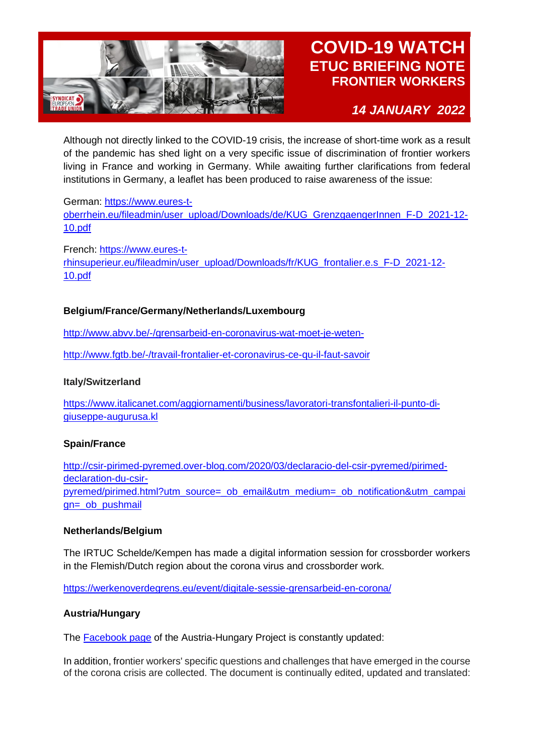

*14 JANUARY 2022*

Although not directly linked to the COVID-19 crisis, the increase of short-time work as a result of the pandemic has shed light on a very specific issue of discrimination of frontier workers living in France and working in Germany. While awaiting further clarifications from federal institutions in Germany, a leaflet has been produced to raise awareness of the issue:

### German: [https://www.eures-t-](https://www.eures-t-oberrhein.eu/fileadmin/user_upload/Downloads/de/KUG_GrenzgaengerInnen_F-D_2021-12-10.pdf)

[oberrhein.eu/fileadmin/user\\_upload/Downloads/de/KUG\\_GrenzgaengerInnen\\_F-D\\_2021-12-](https://www.eures-t-oberrhein.eu/fileadmin/user_upload/Downloads/de/KUG_GrenzgaengerInnen_F-D_2021-12-10.pdf) [10.pdf](https://www.eures-t-oberrhein.eu/fileadmin/user_upload/Downloads/de/KUG_GrenzgaengerInnen_F-D_2021-12-10.pdf)

French: [https://www.eures-t](https://www.eures-t-rhinsuperieur.eu/fileadmin/user_upload/Downloads/fr/KUG_frontalier.e.s_F-D_2021-12-10.pdf)[rhinsuperieur.eu/fileadmin/user\\_upload/Downloads/fr/KUG\\_frontalier.e.s\\_F-D\\_2021-12-](https://www.eures-t-rhinsuperieur.eu/fileadmin/user_upload/Downloads/fr/KUG_frontalier.e.s_F-D_2021-12-10.pdf) [10.pdf](https://www.eures-t-rhinsuperieur.eu/fileadmin/user_upload/Downloads/fr/KUG_frontalier.e.s_F-D_2021-12-10.pdf)

### **Belgium/France/Germany/Netherlands/Luxembourg**

<http://www.abvv.be/-/grensarbeid-en-coronavirus-wat-moet-je-weten->

<http://www.fgtb.be/-/travail-frontalier-et-coronavirus-ce-qu-il-faut-savoir>

#### **Italy/Switzerland**

[https://www.italicanet.com/aggiornamenti/business/lavoratori-transfontalieri-il-punto-di](https://www.italicanet.com/aggiornamenti/business/lavoratori-transfontalieri-il-punto-di-giuseppe-augurusa.kl)[giuseppe-augurusa.kl](https://www.italicanet.com/aggiornamenti/business/lavoratori-transfontalieri-il-punto-di-giuseppe-augurusa.kl)

#### **Spain/France**

[http://csir-pirimed-pyremed.over-blog.com/2020/03/declaracio-del-csir-pyremed/pirimed](http://csir-pirimed-pyremed.over-blog.com/2020/03/declaracio-del-csir-pyremed/pirimed-declaration-du-csir-pyremed/pirimed.html?utm_source=_ob_email&utm_medium=_ob_notification&utm_campaign=_ob_pushmail)[declaration-du-csir](http://csir-pirimed-pyremed.over-blog.com/2020/03/declaracio-del-csir-pyremed/pirimed-declaration-du-csir-pyremed/pirimed.html?utm_source=_ob_email&utm_medium=_ob_notification&utm_campaign=_ob_pushmail)[pyremed/pirimed.html?utm\\_source=\\_ob\\_email&utm\\_medium=\\_ob\\_notification&utm\\_campai](http://csir-pirimed-pyremed.over-blog.com/2020/03/declaracio-del-csir-pyremed/pirimed-declaration-du-csir-pyremed/pirimed.html?utm_source=_ob_email&utm_medium=_ob_notification&utm_campaign=_ob_pushmail) [gn=\\_ob\\_pushmail](http://csir-pirimed-pyremed.over-blog.com/2020/03/declaracio-del-csir-pyremed/pirimed-declaration-du-csir-pyremed/pirimed.html?utm_source=_ob_email&utm_medium=_ob_notification&utm_campaign=_ob_pushmail)

#### **Netherlands/Belgium**

The IRTUC Schelde/Kempen has made a digital information session for crossborder workers in the Flemish/Dutch region about the corona virus and crossborder work.

<https://werkenoverdegrens.eu/event/digitale-sessie-grensarbeid-en-corona/>

#### **Austria/Hungary**

The [Facebook page](https://www.facebook.com/oegb.bld/?__tn__=%2Cd%2CP-R&eid=ARB3o9IZORcLEvKq9LQdfCPhxMDejehibBQn-aYGdoO_N7Mem_KSVkQb0wyTaBECDxRhH6ODqemT0E7i) of the Austria-Hungary Project is constantly updated:

In addition, frontier workers' specific questions and challenges that have emerged in the course of the corona crisis are collected. The document is continually edited, updated and translated: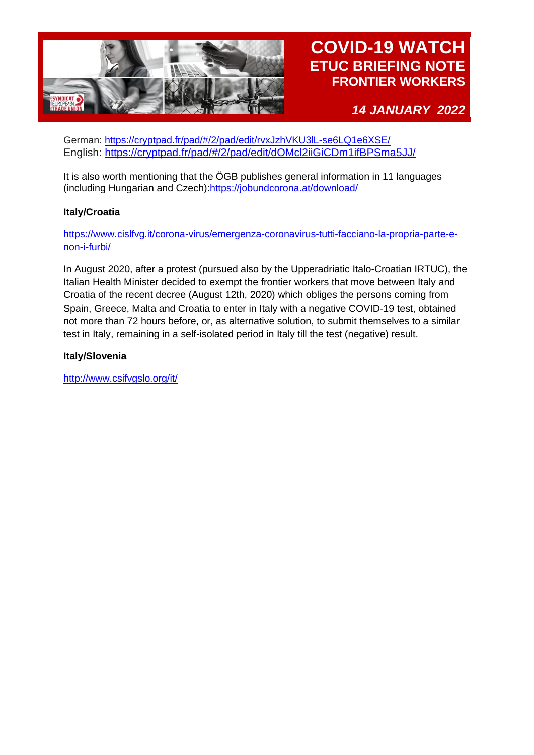

*14 JANUARY 2022*

German: https://cryptpad.fr/pad/#/2/pad/edit/rvxJzhVKU3lL-se6LQ1e6XSE/ English: [https://cryptpad.fr/pad/#/2/pad/edit/dOMcl2iiGiCDm1ifBPSm](https://cryptpad.fr/pad/#/2/pad/edit/rvxJzhVKU3lL-se6LQ1e6XSE/)[a5JJ/](https://cryptpad.fr/pad/#/2/pad/edit/dOMcl2iiGiCDm1ifBPSma5JJ/)

It is also worth mentioning that the ÖGB publishes general information in 11 languages (including Hungarian and Czech): https://jobundcorona.at/download/

### **Italy/Croatia**

[https://www.cislfvg.it/corona-virus/emergenza-coronavirus-tutti-facciano-la-propria-parte-e](https://www.cislfvg.it/corona-virus/emergenza-coronavirus-tutti-facciano-la-propria-parte-e-non-i-furbi/)[non-i-furbi/](https://www.cislfvg.it/corona-virus/emergenza-coronavirus-tutti-facciano-la-propria-parte-e-non-i-furbi/)

In August 2020, after a protest (pursued also by the Upperadriatic Italo-Croatian IRTUC), the Italian Health Minister decided to exempt the frontier workers that move between Italy and Croatia of the recent decree (August 12th, 2020) which obliges the persons coming from Spain, Greece, Malta and Croatia to enter in Italy with a negative COVID-19 test, obtained not more than 72 hours before, or, as alternative solution, to submit themselves to a similar test in Italy, remaining in a self-isolated period in Italy till the test (negative) result.

### **Italy/Slovenia**

<http://www.csifvgslo.org/it/>